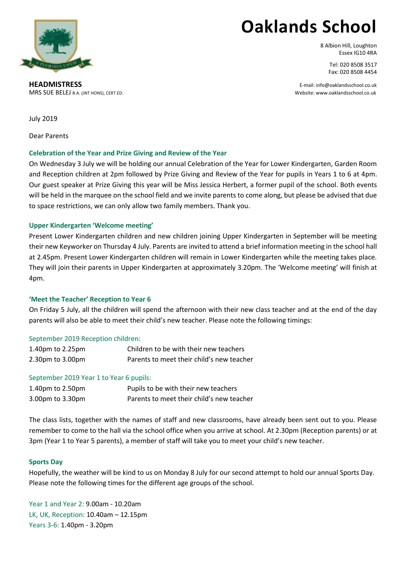

# **Oaklands School**

8 Albion Hill, Loughton Essex IG10 4RA

> Tel: 020 8508 3517 Fax: 020 8508 4454

**HEADMISTRESS** E-mail: info@oaklandsschool.co.uk MRS SUE BELEJ B.A. (JNT HONS), CERT.ED. Website: www.oaklandsschool.co.uk

July 2019

Dear Parents

# **Celebration of the Year and Prize Giving and Review of the Year**

On Wednesday 3 July we will be holding our annual Celebration of the Year for Lower Kindergarten, Garden Room and Reception children at 2pm followed by Prize Giving and Review of the Year for pupils in Years 1 to 6 at 4pm. Our guest speaker at Prize Giving this year will be Miss Jessica Herbert, a former pupil of the school. Both events will be held in the marquee on the school field and we invite parents to come along, but please be advised that due to space restrictions, we can only allow two family members. Thank you.

# **Upper Kindergarten 'Welcome meeting'**

Present Lower Kindergarten children and new children joining Upper Kindergarten in September will be meeting their new Keyworker on Thursday 4 July. Parents are invited to attend a brief information meeting in the school hall at 2.45pm. Present Lower Kindergarten children will remain in Lower Kindergarten while the meeting takes place. They will join their parents in Upper Kindergarten at approximately 3.20pm. The 'Welcome meeting' will finish at 4pm.

## **'Meet the Teacher' Reception to Year 6**

On Friday 5 July, all the children will spend the afternoon with their new class teacher and at the end of the day parents will also be able to meet their child's new teacher. Please note the following timings:

## September 2019 Reception children:

| 1.40pm to 2.25pm | Children to be with their new teachers    |
|------------------|-------------------------------------------|
| 2.30pm to 3.00pm | Parents to meet their child's new teacher |

## September 2019 Year 1 to Year 6 pupils:

| 1.40pm to 2.50pm | Pupils to be with their new teachers      |
|------------------|-------------------------------------------|
| 3.00pm to 3.30pm | Parents to meet their child's new teacher |

The class lists, together with the names of staff and new classrooms, have already been sent out to you. Please remember to come to the hall via the school office when you arrive at school. At 2.30pm (Reception parents) or at 3pm (Year 1 to Year 5 parents), a member of staff will take you to meet your child's new teacher.

## **Sports Day**

Hopefully, the weather will be kind to us on Monday 8 July for our second attempt to hold our annual Sports Day. Please note the following times for the different age groups of the school.

Year 1 and Year 2: 9.00am - 10.20am LK, UK, Reception: 10.40am – 12.15pm Years 3-6: 1.40pm - 3.20pm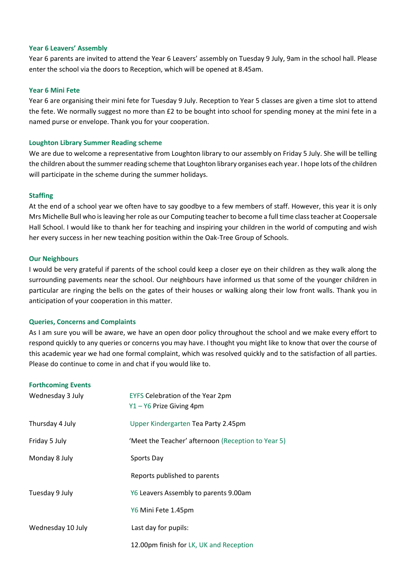#### **Year 6 Leavers' Assembly**

Year 6 parents are invited to attend the Year 6 Leavers' assembly on Tuesday 9 July, 9am in the school hall. Please enter the school via the doors to Reception, which will be opened at 8.45am.

#### **Year 6 Mini Fete**

Year 6 are organising their mini fete for Tuesday 9 July. Reception to Year 5 classes are given a time slot to attend the fete. We normally suggest no more than £2 to be bought into school for spending money at the mini fete in a named purse or envelope. Thank you for your cooperation.

### **Loughton Library Summer Reading scheme**

We are due to welcome a representative from Loughton library to our assembly on Friday 5 July. She will be telling the children about the summer reading scheme that Loughton library organises each year. I hope lots of the children will participate in the scheme during the summer holidays.

#### **Staffing**

At the end of a school year we often have to say goodbye to a few members of staff. However, this year it is only Mrs Michelle Bull who is leaving her role as our Computing teacher to become a full time class teacher at Coopersale Hall School. I would like to thank her for teaching and inspiring your children in the world of computing and wish her every success in her new teaching position within the Oak-Tree Group of Schools.

#### **Our Neighbours**

I would be very grateful if parents of the school could keep a closer eye on their children as they walk along the surrounding pavements near the school. Our neighbours have informed us that some of the younger children in particular are ringing the bells on the gates of their houses or walking along their low front walls. Thank you in anticipation of your cooperation in this matter.

## **Queries, Concerns and Complaints**

As I am sure you will be aware, we have an open door policy throughout the school and we make every effort to respond quickly to any queries or concerns you may have. I thought you might like to know that over the course of this academic year we had one formal complaint, which was resolved quickly and to the satisfaction of all parties. Please do continue to come in and chat if you would like to.

#### **Forthcoming Events**

| Wednesday 3 July  | EYFS Celebration of the Year 2pm<br>Y1-Y6 Prize Giving 4pm |
|-------------------|------------------------------------------------------------|
| Thursday 4 July   | Upper Kindergarten Tea Party 2.45pm                        |
| Friday 5 July     | 'Meet the Teacher' afternoon (Reception to Year 5)         |
| Monday 8 July     | Sports Day                                                 |
|                   | Reports published to parents                               |
| Tuesday 9 July    | Y6 Leavers Assembly to parents 9.00am                      |
|                   | Y6 Mini Fete 1.45pm                                        |
| Wednesday 10 July | Last day for pupils:                                       |
|                   | 12.00pm finish for LK, UK and Reception                    |